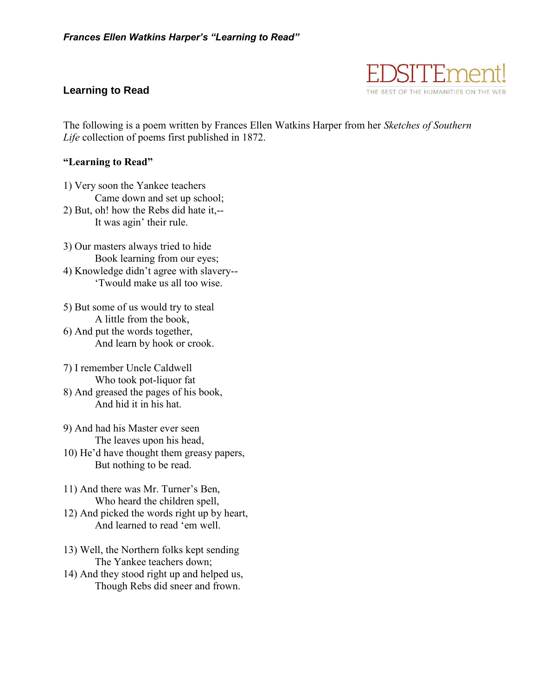## **Learning to Read**



The following is a poem written by Frances Ellen Watkins Harper from her *Sketches of Southern Life* collection of poems first published in 1872.

## **"Learning to Read"**

1) Very soon the Yankee teachers Came down and set up school; 2) But, oh! how the Rebs did hate it,--

It was agin' their rule.

3) Our masters always tried to hide Book learning from our eyes; 4) Knowledge didn't agree with slavery--

'Twould make us all too wise.

5) But some of us would try to steal A little from the book, 6) And put the words together, And learn by hook or crook.

7) I remember Uncle Caldwell Who took pot-liquor fat

8) And greased the pages of his book, And hid it in his hat.

9) And had his Master ever seen The leaves upon his head,

10) He'd have thought them greasy papers, But nothing to be read.

11) And there was Mr. Turner's Ben, Who heard the children spell,

12) And picked the words right up by heart, And learned to read 'em well.

13) Well, the Northern folks kept sending The Yankee teachers down;

14) And they stood right up and helped us, Though Rebs did sneer and frown.